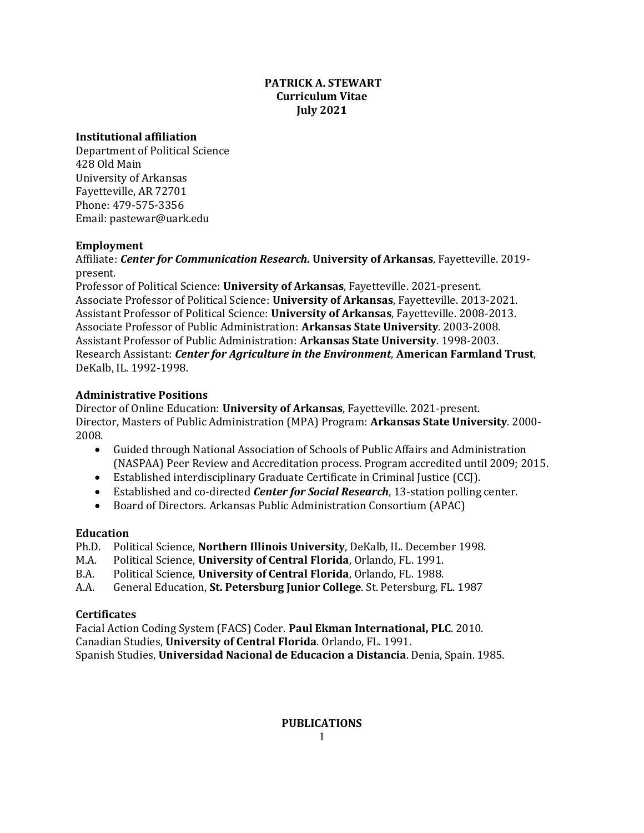# **PATRICK A. STEWART Curriculum Vitae July 2021**

### **Institutional affiliation**

Department of Political Science 428 Old Main University of Arkansas Fayetteville, AR 72701 Phone: 479-575-3356 Email: pastewar@uark.edu

# **Employment**

Affiliate: *Center for Communication Research.* **University of Arkansas**, Fayetteville. 2019 present.

Professor of Political Science: **University of Arkansas**, Fayetteville. 2021-present. Associate Professor of Political Science: **University of Arkansas**, Fayetteville. 2013-2021. Assistant Professor of Political Science: **University of Arkansas**, Fayetteville. 2008-2013. Associate Professor of Public Administration: **Arkansas State University**. 2003-2008. Assistant Professor of Public Administration: **Arkansas State University**. 1998-2003. Research Assistant: *Center for Agriculture in the Environment*, **American Farmland Trust**, DeKalb, IL. 1992-1998.

# **Administrative Positions**

Director of Online Education: **University of Arkansas**, Fayetteville. 2021-present. Director, Masters of Public Administration (MPA) Program: **Arkansas State University**. 2000- 2008.

- Guided through National Association of Schools of Public Affairs and Administration (NASPAA) Peer Review and Accreditation process. Program accredited until 2009; 2015.
- Established interdisciplinary Graduate Certificate in Criminal Justice (CCJ).
- Established and co-directed *Center for Social Research*, 13-station polling center.
- Board of Directors. Arkansas Public Administration Consortium (APAC)

# **Education**

- Ph.D. Political Science, **Northern Illinois University**, DeKalb, IL. December 1998.
- M.A. Political Science, **University of Central Florida**, Orlando, FL. 1991.
- B.A. Political Science, **University of Central Florida**, Orlando, FL. 1988.
- A.A. General Education, **St. Petersburg Junior College**. St. Petersburg, FL. 1987

# **Certificates**

Facial Action Coding System (FACS) Coder. **Paul Ekman International, PLC**. 2010. Canadian Studies, **University of Central Florida**. Orlando, FL. 1991. Spanish Studies, **Universidad Nacional de Educacion a Distancia**. Denia, Spain. 1985.

# **PUBLICATIONS**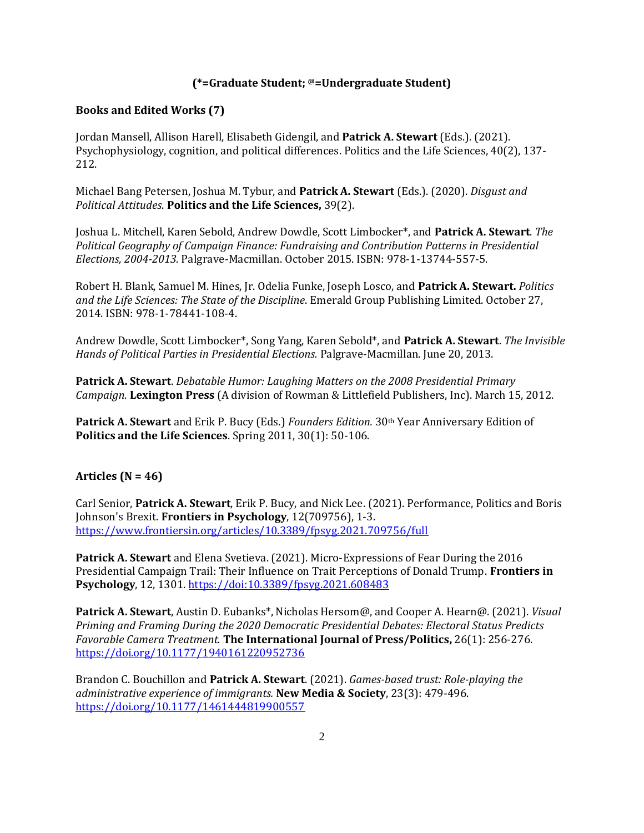### **(\*=Graduate Student; @=Undergraduate Student)**

### **Books and Edited Works (7)**

Jordan Mansell, Allison Harell, Elisabeth Gidengil, and **Patrick A. Stewart** (Eds.). (2021). Psychophysiology, cognition, and political differences. Politics and the Life Sciences, 40(2), 137- 212.

Michael Bang Petersen, Joshua M. Tybur, and **Patrick A. Stewart** (Eds.). (2020). *Disgust and Political Attitudes*. **Politics and the Life Sciences,** 39(2).

Joshua L. Mitchell, Karen Sebold, Andrew Dowdle, Scott Limbocker\*, and **Patrick A. Stewart**. *The Political Geography of Campaign Finance: Fundraising and Contribution Patterns in Presidential Elections, 2004-2013.* Palgrave-Macmillan. October 2015. ISBN: 978-1-13744-557-5.

Robert H. Blank, Samuel M. Hines, Jr. Odelia Funke, Joseph Losco, and **Patrick A. Stewart.** *Politics and the Life Sciences: The State of the Discipline*. Emerald Group Publishing Limited. October 27, 2014. ISBN: 978-1-78441-108-4.

Andrew Dowdle, Scott Limbocker\*, Song Yang, Karen Sebold\*, and **Patrick A. Stewart**. *The Invisible Hands of Political Parties in Presidential Elections.* Palgrave-Macmillan. June 20, 2013.

**Patrick A. Stewart**. *Debatable Humor: Laughing Matters on the 2008 Presidential Primary Campaign.* **Lexington Press** (A division of Rowman & Littlefield Publishers, Inc). March 15, 2012.

**Patrick A. Stewart** and Erik P. Bucy (Eds.) *Founders Edition.* 30th Year Anniversary Edition of **Politics and the Life Sciences**. Spring 2011, 30(1): 50-106.

### **Articles (N = 46)**

Carl Senior, **Patrick A. Stewart**, Erik P. Bucy, and Nick Lee. (2021). Performance, Politics and Boris Johnson's Brexit. **Frontiers in Psychology**, 12(709756), 1-3. <https://www.frontiersin.org/articles/10.3389/fpsyg.2021.709756/full>

**Patrick A. Stewart** and Elena Svetieva. (2021). Micro-Expressions of Fear During the 2016 Presidential Campaign Trail: Their Influence on Trait Perceptions of Donald Trump. **Frontiers in Psychology**, 12, 1301. <https://doi:10.3389/fpsyg.2021.608483>

**Patrick A. Stewart**, Austin D. Eubanks\*, Nicholas Hersom@, and Cooper A. Hearn@. (2021). *Visual Priming and Framing During the 2020 Democratic Presidential Debates: Electoral Status Predicts Favorable Camera Treatment.* **The International Journal of Press/Politics,** 26(1): 256-276. <https://doi.org/10.1177/1940161220952736>

Brandon C. Bouchillon and **Patrick A. Stewart**. (2021). *Games-based trust: Role-playing the administrative experience of immigrants.* **New Media & Society**, 23(3): 479-496. [https://doi.org/10.1177/1461444819900557](https://doi.org/10.1177%2F1461444819900557)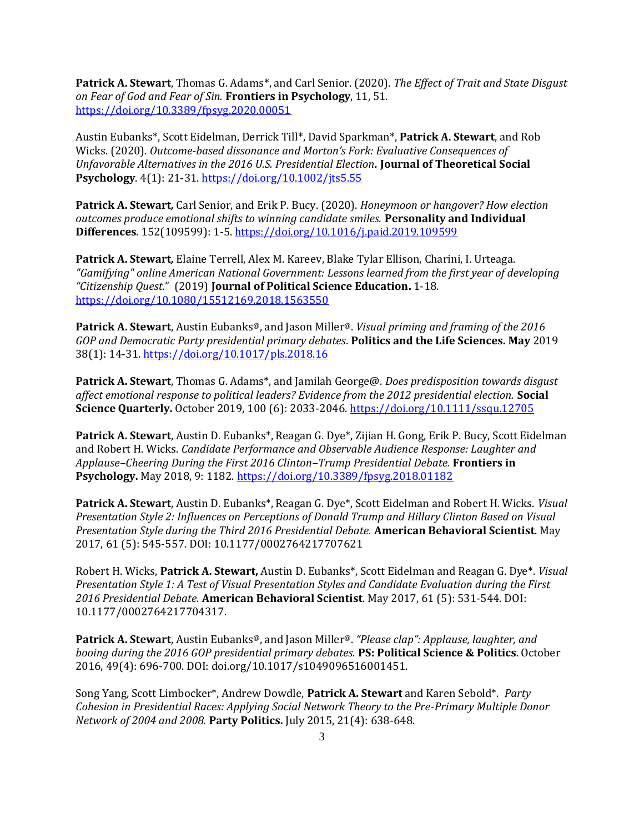**Patrick A. Stewart**, Thomas G. Adams\*, and Carl Senior. (2020). *The Effect of Trait and State Disgust on Fear of God and Fear of Sin.* **Frontiers in Psychology**, 11, 51. <https://doi.org/10.3389/fpsyg.2020.00051>

Austin Eubanks\*, Scott Eidelman, Derrick Till\*, David Sparkman\*, **Patrick A. Stewart**, and Rob Wicks. (2020). *Outcome-based dissonance and Morton's Fork: Evaluative Consequences of Unfavorable Alternatives in the 2016 U.S. Presidential Election.* **Journal of Theoretical Social Psychology**. 4(1): 21-31.<https://doi.org/10.1002/jts5.55>

**Patrick A. Stewart***,* Carl Senior, and Erik P. Bucy. (2020). *Honeymoon or hangover? How election outcomes produce emotional shifts to winning candidate smiles.* **Personality and Individual Differences**. 152(109599): 1-5[. https://doi.org/10.1016/j.paid.2019.109599](https://doi.org/10.1016/j.paid.2019.109599)

**Patrick A. Stewart***,* Elaine Terrell, Alex M. Kareev, Blake Tylar Ellison, Charini, I. Urteaga. *"Gamifying" online American National Government: Lessons learned from the first year of developing "Citizenship Quest.*" (2019) **Journal of Political Science Education.** 1-18. <https://doi.org/10.1080/15512169.2018.1563550>

**Patrick A. Stewart**, Austin Eubanks@, and Jason Miller@. *Visual priming and framing of the 2016 GOP and Democratic Party presidential primary debates*. **Politics and the Life Sciences. May** 2019 38(1): 14-31[. https://doi.org/10.1017/pls.2018.16](https://doi.org/10.1017/pls.2018.16)

**Patrick A. Stewart**, Thomas G. Adams\*, and Jamilah George@. *Does predisposition towards disgust affect emotional response to political leaders? Evidence from the 2012 presidential election.* **Social Science Quarterly.** October 2019, 100 (6): 2033-2046. <https://doi.org/10.1111/ssqu.12705>

**Patrick A. Stewart**, Austin D. Eubanks\*, Reagan G. Dye\*, Zijian H. Gong, Erik P. Bucy, Scott Eidelman and Robert H. Wicks. *Candidate Performance and Observable Audience Response: Laughter and Applause–Cheering During the First 2016 Clinton–Trump Presidential Debate.* **Frontiers in Psychology.** May 2018, 9: 1182.<https://doi.org/10.3389/fpsyg.2018.01182>

**Patrick A. Stewart**, Austin D. Eubanks\*, Reagan G. Dye\*, Scott Eidelman and Robert H. Wicks. *Visual Presentation Style 2: Influences on Perceptions of Donald Trump and Hillary Clinton Based on Visual Presentation Style during the Third 2016 Presidential Debate.* **American Behavioral Scientist**. May 2017, 61 (5): 545-557. DOI: 10.1177/0002764217707621

Robert H. Wicks, **Patrick A. Stewart,** Austin D. Eubanks\*, Scott Eidelman and Reagan G. Dye\*. *Visual Presentation Style 1: A Test of Visual Presentation Styles and Candidate Evaluation during the First 2016 Presidential Debate.* **American Behavioral Scientist**. May 2017, 61 (5): 531-544. DOI: 10.1177/0002764217704317.

**Patrick A. Stewart**, Austin Eubanks@, and Jason Miller@. *"Please clap": Applause, laughter, and booing during the 2016 GOP presidential primary debates.* **PS: Political Science & Politics**. October 2016, 49(4): 696-700. DOI: doi.org/10.1017/s1049096516001451.

Song Yang, Scott Limbocker\*, Andrew Dowdle, **Patrick A. Stewart** and Karen Sebold\*. *Party Cohesion in Presidential Races: Applying Social Network Theory to the Pre-Primary Multiple Donor Network of 2004 and 2008.* **Party Politics.** July 2015, 21(4): 638-648.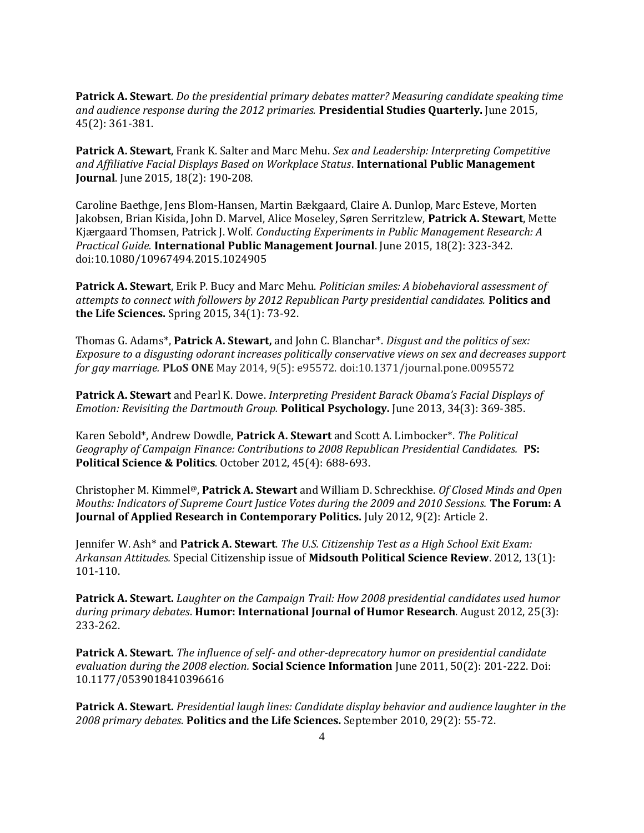**Patrick A. Stewart**. *Do the presidential primary debates matter? Measuring candidate speaking time and audience response during the 2012 primaries.* **Presidential Studies Quarterly.** June 2015, 45(2): 361-381.

**Patrick A. Stewart**, Frank K. Salter and Marc Mehu. *Sex and Leadership: Interpreting Competitive and Affiliative Facial Displays Based on Workplace Status*. **International Public Management Journal**. June 2015, 18(2): 190-208.

Caroline Baethge, Jens Blom-Hansen, Martin Bækgaard, Claire A. Dunlop, Marc Esteve, Morten Jakobsen, Brian Kisida, John D. Marvel, Alice Moseley, Søren Serritzlew, **Patrick A. Stewart**, Mette Kjærgaard Thomsen, Patrick J. Wolf. *Conducting Experiments in Public Management Research: A Practical Guide.* **International Public Management Journal**. June 2015, 18(2): 323-342. doi:10.1080/10967494.2015.1024905

**Patrick A. Stewart**, Erik P. Bucy and Marc Mehu. *Politician smiles: A biobehavioral assessment of attempts to connect with followers by 2012 Republican Party presidential candidates.* **Politics and the Life Sciences.** Spring 2015, 34(1): 73-92.

Thomas G. Adams\*, **Patrick A. Stewart,** and John C. Blanchar\*. *Disgust and the politics of sex: Exposure to a disgusting odorant increases politically conservative views on sex and decreases support for gay marriage.* **PLoS ONE** May 2014, 9(5): e95572. doi:10.1371/journal.pone.0095572

**Patrick A. Stewart** and Pearl K. Dowe. *Interpreting President Barack Obama's Facial Displays of Emotion: Revisiting the Dartmouth Group.* **Political Psychology.** June 2013, 34(3): 369-385.

Karen Sebold\*, Andrew Dowdle, **Patrick A. Stewart** and Scott A. Limbocker\*. *The Political Geography of Campaign Finance: Contributions to 2008 Republican Presidential Candidates.* **PS: Political Science & Politics**. October 2012, 45(4): 688-693.

Christopher M. Kimmel@, **Patrick A. Stewart** and William D. Schreckhise. *Of Closed Minds and Open Mouths: Indicators of Supreme Court Justice Votes during the 2009 and 2010 Sessions.* **The Forum: A Journal of Applied Research in Contemporary Politics.** July 2012, 9(2): Article 2.

Jennifer W. Ash\* and **Patrick A. Stewart**. *The U.S. Citizenship Test as a High School Exit Exam: Arkansan Attitudes.* Special Citizenship issue of **Midsouth Political Science Review**. 2012, 13(1): 101-110.

**Patrick A. Stewart.** *Laughter on the Campaign Trail: How 2008 presidential candidates used humor during primary debates*. **Humor: International Journal of Humor Research**. August 2012, 25(3): 233-262.

**Patrick A. Stewart.** *The influence of self- and other-deprecatory humor on presidential candidate evaluation during the 2008 election.* **Social Science Information** June 2011, 50(2): 201-222. Doi: 10.1177/0539018410396616

**Patrick A. Stewart.** *Presidential laugh lines: Candidate display behavior and audience laughter in the 2008 primary debates*. **Politics and the Life Sciences.** September 2010, 29(2): 55-72.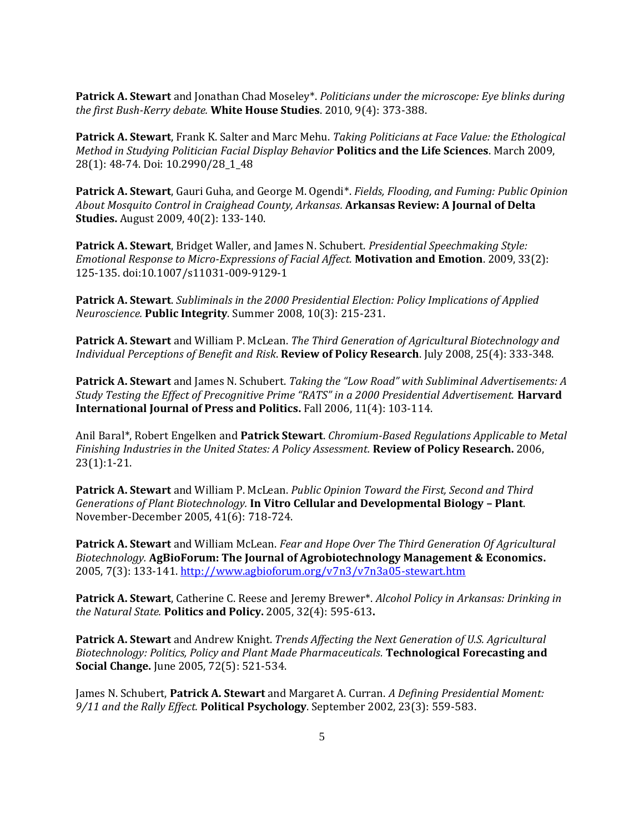**Patrick A. Stewart** and Jonathan Chad Moseley\*. *Politicians under the microscope: Eye blinks during the first Bush-Kerry debate.* **White House Studies**. 2010, 9(4): 373-388.

**Patrick A. Stewart**, Frank K. Salter and Marc Mehu. *Taking Politicians at Face Value: the Ethological Method in Studying Politician Facial Display Behavior* **Politics and the Life Sciences**. March 2009, 28(1): 48-74. Doi: 10.2990/28\_1\_48

**Patrick A. Stewart**, Gauri Guha, and George M. Ogendi\*. *Fields, Flooding, and Fuming: Public Opinion About Mosquito Control in Craighead County, Arkansas.* **Arkansas Review: A Journal of Delta Studies.** August 2009, 40(2): 133-140.

**Patrick A. Stewart**, Bridget Waller, and James N. Schubert. *Presidential Speechmaking Style: Emotional Response to Micro-Expressions of Facial Affect.* **Motivation and Emotion**. 2009, 33(2): 125-135. doi:10.1007/s11031-009-9129-1

**Patrick A. Stewart**. *Subliminals in the 2000 Presidential Election: Policy Implications of Applied Neuroscience.* **Public Integrity**. Summer 2008, 10(3): 215-231.

**Patrick A. Stewart** and William P. McLean. *The Third Generation of Agricultural Biotechnology and Individual Perceptions of Benefit and Risk*. **Review of Policy Research**. July 2008, 25(4): 333-348.

**Patrick A. Stewart** and James N. Schubert. *Taking the "Low Road" with Subliminal Advertisements: A Study Testing the Effect of Precognitive Prime "RATS" in a 2000 Presidential Advertisement.* **Harvard International Journal of Press and Politics.** Fall 2006, 11(4): 103-114.

Anil Baral\*, Robert Engelken and **Patrick Stewart**. *Chromium-Based Regulations Applicable to Metal Finishing Industries in the United States: A Policy Assessment.* **Review of Policy Research.** 2006, 23(1):1-21.

**Patrick A. Stewart** and William P. McLean. *Public Opinion Toward the First, Second and Third Generations of Plant Biotechnology.* **In Vitro Cellular and Developmental Biology – Plant**. November-December 2005, 41(6): 718-724.

**Patrick A. Stewart** and William McLean. *Fear and Hope Over The Third Generation Of Agricultural Biotechnology.* **AgBioForum: The Journal of Agrobiotechnology Management & Economics.**  2005, 7(3): 133-141.<http://www.agbioforum.org/v7n3/v7n3a05-stewart.htm>

**Patrick A. Stewart**, Catherine C. Reese and Jeremy Brewer\*. *Alcohol Policy in Arkansas: Drinking in the Natural State.* **Politics and Policy.** 2005, 32(4): 595-613**.**

**Patrick A. Stewart** and Andrew Knight. *Trends Affecting the Next Generation of U.S. Agricultural Biotechnology: Politics, Policy and Plant Made Pharmaceuticals.* **Technological Forecasting and Social Change.** June 2005, 72(5): 521-534.

James N. Schubert, **Patrick A. Stewart** and Margaret A. Curran. *A Defining Presidential Moment: 9/11 and the Rally Effect.* **Political Psychology**. September 2002, 23(3): 559-583.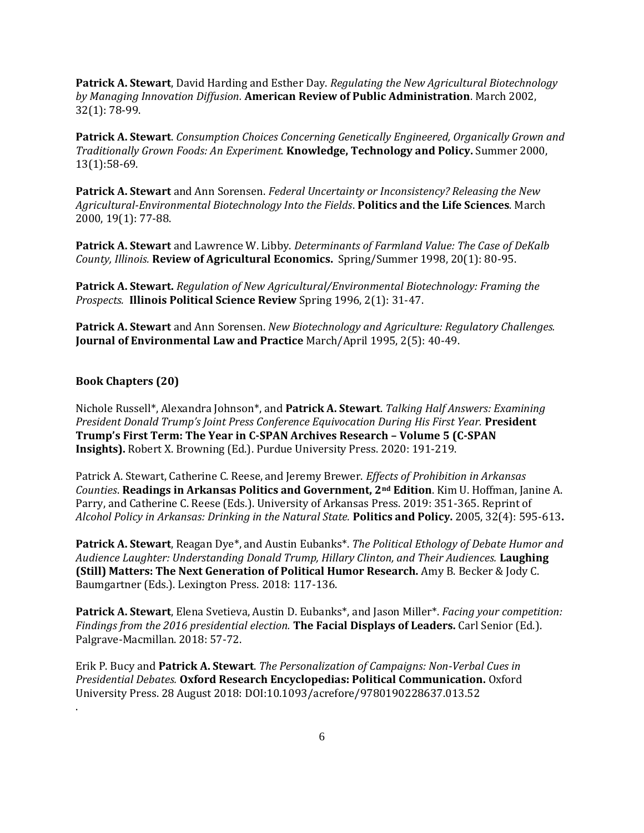**Patrick A. Stewart**, David Harding and Esther Day. *Regulating the New Agricultural Biotechnology by Managing Innovation Diffusion.* **American Review of Public Administration**. March 2002, 32(1): 78-99.

**Patrick A. Stewart**. *Consumption Choices Concerning Genetically Engineered, Organically Grown and Traditionally Grown Foods: An Experiment.* **Knowledge, Technology and Policy.** Summer 2000, 13(1):58-69.

**Patrick A. Stewart** and Ann Sorensen. *Federal Uncertainty or Inconsistency? Releasing the New Agricultural-Environmental Biotechnology Into the Fields*. **Politics and the Life Sciences**. March 2000, 19(1): 77-88.

**Patrick A. Stewart** and Lawrence W. Libby. *Determinants of Farmland Value: The Case of DeKalb County, Illinois.* **Review of Agricultural Economics.** Spring/Summer 1998, 20(1): 80-95.

**Patrick A. Stewart.** *Regulation of New Agricultural/Environmental Biotechnology: Framing the Prospects.* **Illinois Political Science Review** Spring 1996, 2(1): 31-47.

**Patrick A. Stewart** and Ann Sorensen. *New Biotechnology and Agriculture: Regulatory Challenges.*  **Journal of Environmental Law and Practice** March/April 1995, 2(5): 40-49.

# **Book Chapters (20)**

.

Nichole Russell\*, Alexandra Johnson\*, and **Patrick A. Stewart**. *Talking Half Answers: Examining President Donald Trump's Joint Press Conference Equivocation During His First Year.* **President Trump's First Term: The Year in C-SPAN Archives Research – Volume 5 (C-SPAN Insights).** Robert X. Browning (Ed.). Purdue University Press. 2020: 191-219.

Patrick A. Stewart, Catherine C. Reese, and Jeremy Brewer. *Effects of Prohibition in Arkansas Counties*. **Readings in Arkansas Politics and Government, 2nd Edition**. Kim U. Hoffman, Janine A. Parry, and Catherine C. Reese (Eds.). University of Arkansas Press. 2019: 351-365. Reprint of *Alcohol Policy in Arkansas: Drinking in the Natural State.* **Politics and Policy.** 2005, 32(4): 595-613**.**

**Patrick A. Stewart**, Reagan Dye\*, and Austin Eubanks\*. *The Political Ethology of Debate Humor and Audience Laughter: Understanding Donald Trump, Hillary Clinton, and Their Audiences.* **Laughing (Still) Matters: The Next Generation of Political Humor Research.** Amy B. Becker & Jody C. Baumgartner (Eds.). Lexington Press. 2018: 117-136.

**Patrick A. Stewart**, Elena Svetieva, Austin D. Eubanks\*, and Jason Miller\*. *Facing your competition: Findings from the 2016 presidential election.* **The Facial Displays of Leaders.** Carl Senior (Ed.). Palgrave-Macmillan. 2018: 57-72.

Erik P. Bucy and **Patrick A. Stewart**. *The Personalization of Campaigns: Non-Verbal Cues in Presidential Debates.* **Oxford Research Encyclopedias: Political Communication.** Oxford University Press. 28 August 2018: DOI:10.1093/acrefore/9780190228637.013.52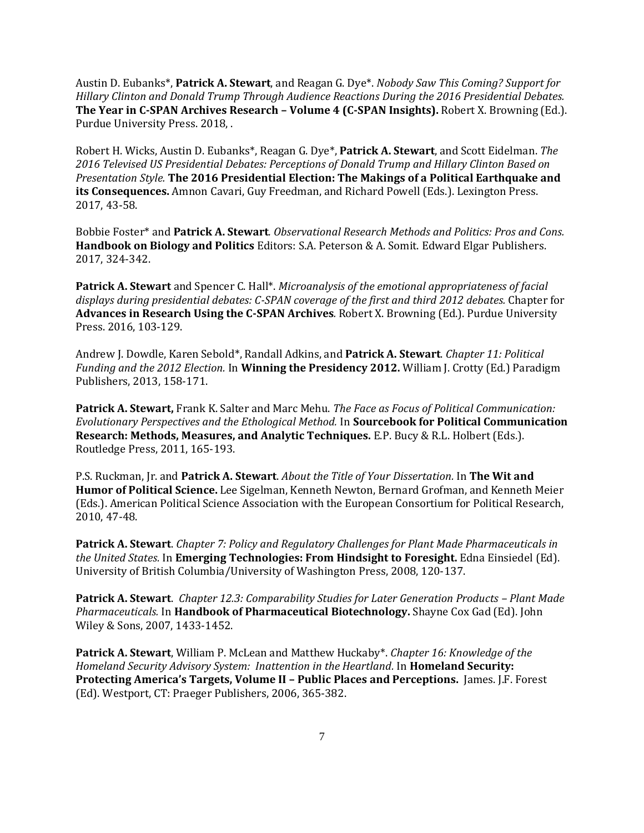Austin D. Eubanks\*, **Patrick A. Stewart**, and Reagan G. Dye\*. *Nobody Saw This Coming? Support for Hillary Clinton and Donald Trump Through Audience Reactions During the 2016 Presidential Debates.* **The Year in C-SPAN Archives Research – Volume 4 (C-SPAN Insights).** Robert X. Browning (Ed.). Purdue University Press. 2018, .

Robert H. Wicks, Austin D. Eubanks\*, Reagan G. Dye\*, **Patrick A. Stewart**, and Scott Eidelman. *The 2016 Televised US Presidential Debates: Perceptions of Donald Trump and Hillary Clinton Based on Presentation Style.* **The 2016 Presidential Election: The Makings of a Political Earthquake and its Consequences.** Amnon Cavari, Guy Freedman, and Richard Powell (Eds.). Lexington Press. 2017, 43-58.

Bobbie Foster\* and **Patrick A. Stewart***. Observational Research Methods and Politics: Pros and Cons.* **Handbook on Biology and Politics** Editors: S.A. Peterson & A. Somit. Edward Elgar Publishers. 2017, 324-342.

**Patrick A. Stewart** and Spencer C. Hall\*. *Microanalysis of the emotional appropriateness of facial displays during presidential debates: C-SPAN coverage of the first and third 2012 debates.* Chapter for **Advances in Research Using the C-SPAN Archives***.* Robert X. Browning (Ed.). Purdue University Press. 2016, 103-129.

Andrew J. Dowdle, Karen Sebold\*, Randall Adkins, and **Patrick A. Stewart**. *Chapter 11: Political Funding and the 2012 Election.* In **Winning the Presidency 2012.** William J. Crotty (Ed.) Paradigm Publishers, 2013, 158-171.

**Patrick A. Stewart,** Frank K. Salter and Marc Mehu. *The Face as Focus of Political Communication: Evolutionary Perspectives and the Ethological Method.* In **Sourcebook for Political Communication Research: Methods, Measures, and Analytic Techniques.** E.P. Bucy & R.L. Holbert (Eds.). Routledge Press, 2011, 165-193.

P.S. Ruckman, Jr. and **Patrick A. Stewart**. *About the Title of Your Dissertation.* In **The Wit and Humor of Political Science.** Lee Sigelman, Kenneth Newton, Bernard Grofman, and Kenneth Meier (Eds.). American Political Science Association with the European Consortium for Political Research, 2010, 47-48.

**Patrick A. Stewart**. *Chapter 7: Policy and Regulatory Challenges for Plant Made Pharmaceuticals in the United States.* In **Emerging Technologies: From Hindsight to Foresight.** Edna Einsiedel (Ed). University of British Columbia/University of Washington Press, 2008, 120-137.

**Patrick A. Stewart**. *Chapter 12.3: Comparability Studies for Later Generation Products – Plant Made Pharmaceuticals.* In **Handbook of Pharmaceutical Biotechnology.** Shayne Cox Gad (Ed). John Wiley & Sons, 2007, 1433-1452.

**Patrick A. Stewart**, William P. McLean and Matthew Huckaby\*. *Chapter 16: Knowledge of the Homeland Security Advisory System: Inattention in the Heartland.* In **Homeland Security: Protecting America's Targets, Volume II – Public Places and Perceptions.** James. J.F. Forest (Ed). Westport, CT: Praeger Publishers, 2006, 365-382.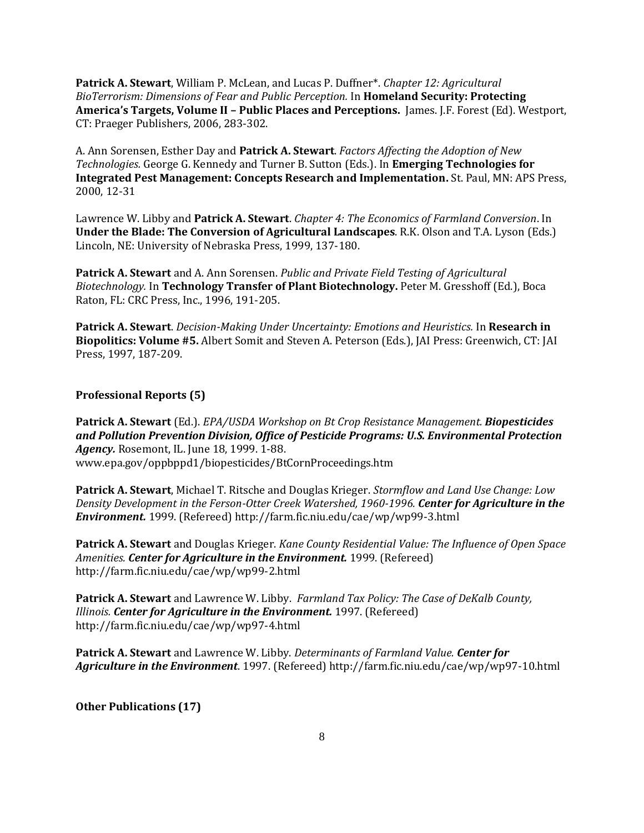**Patrick A. Stewart**, William P. McLean, and Lucas P. Duffner\*. *Chapter 12: Agricultural BioTerrorism: Dimensions of Fear and Public Perception.* In **Homeland Security: Protecting America's Targets, Volume II – Public Places and Perceptions.** James. J.F. Forest (Ed). Westport, CT: Praeger Publishers, 2006, 283-302.

A. Ann Sorensen, Esther Day and **Patrick A. Stewart**. *Factors Affecting the Adoption of New Technologies.* George G. Kennedy and Turner B. Sutton (Eds.). In **Emerging Technologies for Integrated Pest Management: Concepts Research and Implementation.** St. Paul, MN: APS Press, 2000, 12-31

Lawrence W. Libby and **Patrick A. Stewart**. *Chapter 4: The Economics of Farmland Conversion*. In **Under the Blade: The Conversion of Agricultural Landscapes**. R.K. Olson and T.A. Lyson (Eds.) Lincoln, NE: University of Nebraska Press, 1999, 137-180.

**Patrick A. Stewart** and A. Ann Sorensen. *Public and Private Field Testing of Agricultural Biotechnology.* In **Technology Transfer of Plant Biotechnology.** Peter M. Gresshoff (Ed.), Boca Raton, FL: CRC Press, Inc., 1996, 191-205.

**Patrick A. Stewart**. *Decision-Making Under Uncertainty: Emotions and Heuristics.* In **Research in Biopolitics: Volume #5.** Albert Somit and Steven A. Peterson (Eds.), JAI Press: Greenwich, CT: JAI Press, 1997, 187-209.

### **Professional Reports (5)**

**Patrick A. Stewart** (Ed.). *EPA/USDA Workshop on Bt Crop Resistance Management. Biopesticides and Pollution Prevention Division, Office of Pesticide Programs: U.S. Environmental Protection Agency.* Rosemont, IL. June 18, 1999. 1-88. www.epa.gov/oppbppd1/biopesticides/BtCornProceedings.htm

**Patrick A. Stewart**, Michael T. Ritsche and Douglas Krieger. *Stormflow and Land Use Change: Low Density Development in the Ferson-Otter Creek Watershed, 1960-1996. Center for Agriculture in the Environment.* 1999. (Refereed) http://farm.fic.niu.edu/cae/wp/wp99-3.html

**Patrick A. Stewart** and Douglas Krieger. *Kane County Residential Value: The Influence of Open Space Amenities. Center for Agriculture in the Environment.* 1999. (Refereed) http://farm.fic.niu.edu/cae/wp/wp99-2.html

**Patrick A. Stewart** and Lawrence W. Libby. *Farmland Tax Policy: The Case of DeKalb County, Illinois. Center for Agriculture in the Environment.* 1997. (Refereed) http://farm.fic.niu.edu/cae/wp/wp97-4.html

**Patrick A. Stewart** and Lawrence W. Libby. *Determinants of Farmland Value. Center for Agriculture in the Environment*. 1997. (Refereed) http://farm.fic.niu.edu/cae/wp/wp97-10.html

**Other Publications (17)**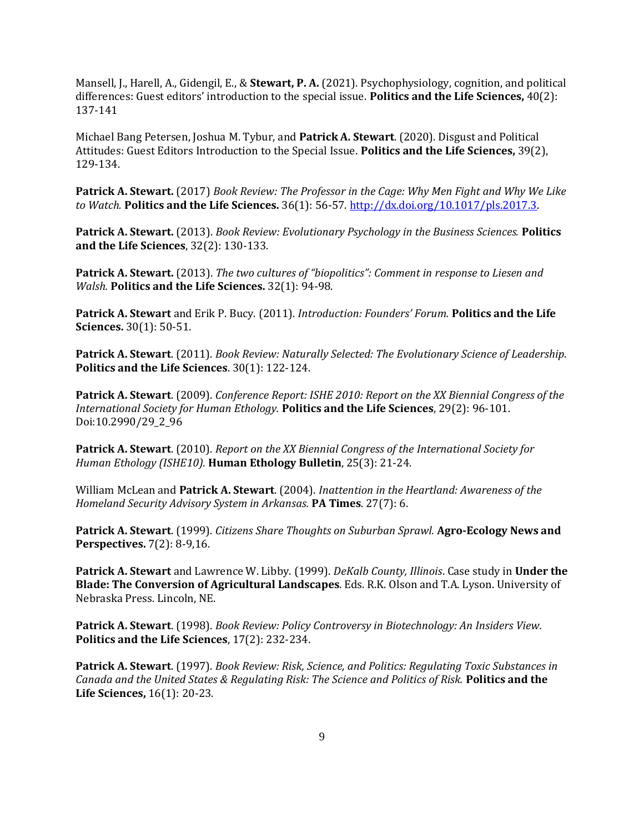Mansell, J., Harell, A., Gidengil, E., & **Stewart, P. A.** (2021). Psychophysiology, cognition, and political differences: Guest editors' introduction to the special issue. **Politics and the Life Sciences,** 40(2): 137-141

Michael Bang Petersen, Joshua M. Tybur, and **Patrick A. Stewart**. (2020). Disgust and Political Attitudes: Guest Editors Introduction to the Special Issue. **Politics and the Life Sciences,** 39(2), 129-134.

**Patrick A. Stewart.** (2017) *Book Review: The Professor in the Cage: Why Men Fight and Why We Like to Watch.* **Politics and the Life Sciences.** 36(1): 56-57[. http://dx.doi.org/10.1017/pls.2017.3.](https://urldefense.proofpoint.com/v2/url?u=http-3A__dx.doi.org_10.1017_pls.2017.3&d=DwMCaQ&c=7ypwAowFJ8v-mw8AB-SdSueVQgSDL4HiiSaLK01W8HA&r=ZKJ4_wRRnqGuMFvPfrkiz_YC0fGRog3AgRuEDbHZqUw&m=QaMGc6Sw6-lmH3nojN0W52zewCm-Yv9_ZukD7Z271wc&s=GyyGZtXztj7htl3cJSVtTV3_lqSL97N1GCGnihWDq3M&e=)

**Patrick A. Stewart.** (2013). *Book Review: Evolutionary Psychology in the Business Sciences.* **Politics and the Life Sciences**, 32(2): 130-133.

**Patrick A. Stewart.** (2013). *The two cultures of "biopolitics": Comment in response to Liesen and Walsh.* **Politics and the Life Sciences.** 32(1): 94-98.

**Patrick A. Stewart** and Erik P. Bucy. (2011). *Introduction: Founders' Forum.* **Politics and the Life Sciences.** 30(1): 50-51.

**Patrick A. Stewart**. (2011). *Book Review: Naturally Selected: The Evolutionary Science of Leadership*. **Politics and the Life Sciences**. 30(1): 122-124.

**Patrick A. Stewart**. (2009). *Conference Report: ISHE 2010: Report on the XX Biennial Congress of the International Society for Human Ethology.* **Politics and the Life Sciences**, 29(2): 96-101. Doi:10.2990/29\_2\_96

**Patrick A. Stewart**. (2010). *Report on the XX Biennial Congress of the International Society for Human Ethology (ISHE10).* **Human Ethology Bulletin**, 25(3): 21-24.

William McLean and **Patrick A. Stewart**. (2004). *Inattention in the Heartland: Awareness of the Homeland Security Advisory System in Arkansas.* **PA Times**. 27(7): 6.

**Patrick A. Stewart**. (1999). *Citizens Share Thoughts on Suburban Sprawl.* **Agro-Ecology News and Perspectives.** 7(2): 8-9,16.

**Patrick A. Stewart** and Lawrence W. Libby. (1999). *DeKalb County, Illinois*. Case study in **Under the Blade: The Conversion of Agricultural Landscapes**. Eds. R.K. Olson and T.A. Lyson. University of Nebraska Press. Lincoln, NE.

**Patrick A. Stewart**. (1998). *Book Review: Policy Controversy in Biotechnology: An Insiders View.*  **Politics and the Life Sciences**, 17(2): 232-234.

**Patrick A. Stewart**. (1997). *Book Review: Risk, Science, and Politics: Regulating Toxic Substances in Canada and the United States & Regulating Risk: The Science and Politics of Risk.* **Politics and the Life Sciences,** 16(1): 20-23.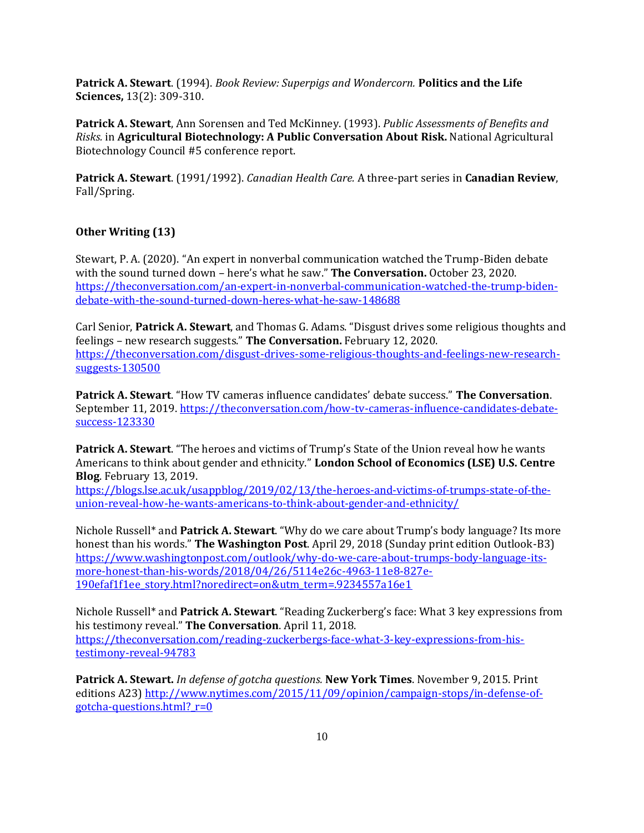**Patrick A. Stewart**. (1994). *Book Review: Superpigs and Wondercorn.* **Politics and the Life Sciences,** 13(2): 309-310.

**Patrick A. Stewart**, Ann Sorensen and Ted McKinney. (1993). *Public Assessments of Benefits and Risks.* in **Agricultural Biotechnology: A Public Conversation About Risk.** National Agricultural Biotechnology Council #5 conference report.

**Patrick A. Stewart**. (1991/1992). *Canadian Health Care.* A three-part series in **Canadian Review**, Fall/Spring.

# **Other Writing (13)**

Stewart, P. A. (2020). "An expert in nonverbal communication watched the Trump-Biden debate with the sound turned down – here's what he saw." **The Conversation.** October 23, 2020. [https://theconversation.com/an-expert-in-nonverbal-communication-watched-the-trump-biden](https://theconversation.com/an-expert-in-nonverbal-communication-watched-the-trump-biden-debate-with-the-sound-turned-down-heres-what-he-saw-148688)[debate-with-the-sound-turned-down-heres-what-he-saw-148688](https://theconversation.com/an-expert-in-nonverbal-communication-watched-the-trump-biden-debate-with-the-sound-turned-down-heres-what-he-saw-148688)

Carl Senior, **Patrick A. Stewart**, and Thomas G. Adams. "Disgust drives some religious thoughts and feelings – new research suggests." **The Conversation.** February 12, 2020. [https://theconversation.com/disgust-drives-some-religious-thoughts-and-feelings-new-research](https://theconversation.com/disgust-drives-some-religious-thoughts-and-feelings-new-research-suggests-130500)[suggests-130500](https://theconversation.com/disgust-drives-some-religious-thoughts-and-feelings-new-research-suggests-130500)

**Patrick A. Stewart**. "How TV cameras influence candidates' debate success." **The Conversation**. September 11, 2019. [https://theconversation.com/how-tv-cameras-influence-candidates-debate](https://theconversation.com/how-tv-cameras-influence-candidates-debate-success-123330)[success-123330](https://theconversation.com/how-tv-cameras-influence-candidates-debate-success-123330)

**Patrick A. Stewart**. "The heroes and victims of Trump's State of the Union reveal how he wants Americans to think about gender and ethnicity." **London School of Economics (LSE) U.S. Centre Blog**. February 13, 2019.

[https://blogs.lse.ac.uk/usappblog/2019/02/13/the-heroes-and-victims-of-trumps-state-of-the](https://blogs.lse.ac.uk/usappblog/2019/02/13/the-heroes-and-victims-of-trumps-state-of-the-union-reveal-how-he-wants-americans-to-think-about-gender-and-ethnicity/)[union-reveal-how-he-wants-americans-to-think-about-gender-and-ethnicity/](https://blogs.lse.ac.uk/usappblog/2019/02/13/the-heroes-and-victims-of-trumps-state-of-the-union-reveal-how-he-wants-americans-to-think-about-gender-and-ethnicity/)

Nichole Russell\* and **Patrick A. Stewart**. "Why do we care about Trump's body language? Its more honest than his words." **The Washington Post**. April 29, 2018 (Sunday print edition Outlook-B3) [https://www.washingtonpost.com/outlook/why-do-we-care-about-trumps-body-language-its](https://www.washingtonpost.com/outlook/why-do-we-care-about-trumps-body-language-its-more-honest-than-his-words/2018/04/26/5114e26c-4963-11e8-827e-190efaf1f1ee_story.html?noredirect=on&utm_term=.9234557a16e1)[more-honest-than-his-words/2018/04/26/5114e26c-4963-11e8-827e-](https://www.washingtonpost.com/outlook/why-do-we-care-about-trumps-body-language-its-more-honest-than-his-words/2018/04/26/5114e26c-4963-11e8-827e-190efaf1f1ee_story.html?noredirect=on&utm_term=.9234557a16e1)[190efaf1f1ee\\_story.html?noredirect=on&utm\\_term=.9234557a16e1](https://www.washingtonpost.com/outlook/why-do-we-care-about-trumps-body-language-its-more-honest-than-his-words/2018/04/26/5114e26c-4963-11e8-827e-190efaf1f1ee_story.html?noredirect=on&utm_term=.9234557a16e1)

Nichole Russell\* and **Patrick A. Stewart**. "Reading Zuckerberg's face: What 3 key expressions from his testimony reveal." **The Conversation**. April 11, 2018. [https://theconversation.com/reading-zuckerbergs-face-what-3-key-expressions-from-his](https://theconversation.com/reading-zuckerbergs-face-what-3-key-expressions-from-his-testimony-reveal-94783)[testimony-reveal-94783](https://theconversation.com/reading-zuckerbergs-face-what-3-key-expressions-from-his-testimony-reveal-94783)

**Patrick A. Stewart.** *In defense of gotcha questions.* **New York Times**. November 9, 2015. Print editions A23) [http://www.nytimes.com/2015/11/09/opinion/campaign-stops/in-defense-of](http://www.nytimes.com/2015/11/09/opinion/campaign-stops/in-defense-of-gotcha-questions.html?_r=0)gotcha-questions.html? $r=0$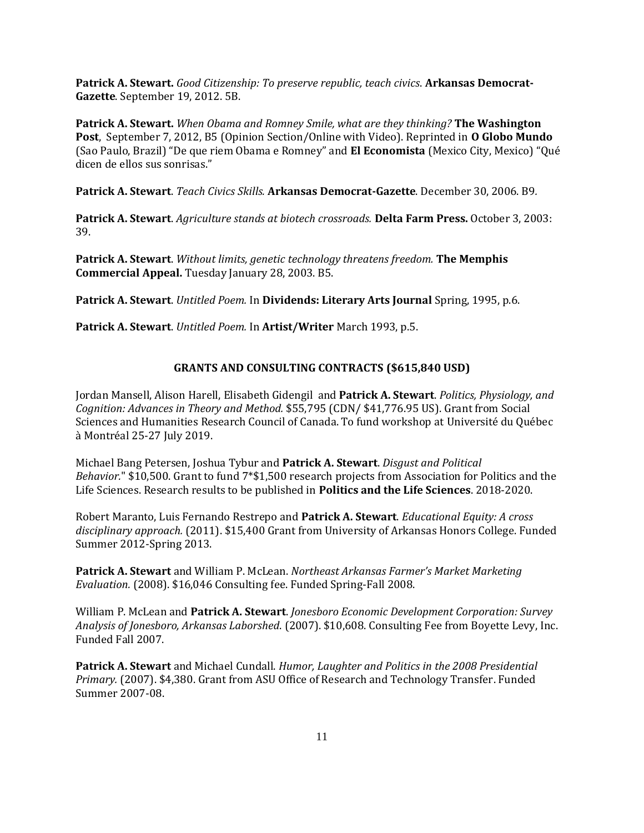**Patrick A. Stewart.** *Good Citizenship: To preserve republic, teach civics*. **Arkansas Democrat-Gazette**. September 19, 2012. 5B.

**Patrick A. Stewart.** *When Obama and Romney Smile, what are they thinking?* **The Washington Post**, September 7, 2012, B5 (Opinion Section/Online with Video). Reprinted in **O Globo Mundo** (Sao Paulo, Brazil) "De que riem Obama e Romney" and **El Economista** (Mexico City, Mexico) "Qué dicen de ellos sus sonrisas."

**Patrick A. Stewart**. *Teach Civics Skills.* **Arkansas Democrat-Gazette**. December 30, 2006. B9*.*

**Patrick A. Stewart**. *Agriculture stands at biotech crossroads.* **Delta Farm Press.** October 3, 2003: 39.

**Patrick A. Stewart**. *Without limits, genetic technology threatens freedom.* **The Memphis Commercial Appeal.** Tuesday January 28, 2003. B5.

**Patrick A. Stewart**. *Untitled Poem.* In **Dividends: Literary Arts Journal** Spring, 1995, p.6.

**Patrick A. Stewart**. *Untitled Poem.* In **Artist/Writer** March 1993, p.5.

### **GRANTS AND CONSULTING CONTRACTS (\$615,840 USD)**

Jordan Mansell, Alison Harell, Elisabeth Gidengil and **Patrick A. Stewart**. *Politics, Physiology, and Cognition: Advances in Theory and Method.* \$55,795 (CDN/ \$41,776.95 US). Grant from Social Sciences and Humanities Research Council of Canada. To fund workshop at Université du Québec à Montréal 25-27 July 2019.

Michael Bang Petersen, Joshua Tybur and **Patrick A. Stewart**. *Disgust and Political Behavior.*" \$10,500. Grant to fund 7\*\$1,500 research projects from Association for Politics and the Life Sciences. Research results to be published in **Politics and the Life Sciences**. 2018-2020.

Robert Maranto, Luis Fernando Restrepo and **Patrick A. Stewart**. *Educational Equity: A cross disciplinary approach.* (2011). \$15,400 Grant from University of Arkansas Honors College. Funded Summer 2012-Spring 2013.

**Patrick A. Stewart** and William P. McLean. *Northeast Arkansas Farmer's Market Marketing Evaluation.* (2008). \$16,046 Consulting fee. Funded Spring-Fall 2008.

William P. McLean and **Patrick A. Stewart**. *Jonesboro Economic Development Corporation: Survey Analysis of Jonesboro, Arkansas Laborshed*. (2007). \$10,608. Consulting Fee from Boyette Levy, Inc. Funded Fall 2007.

**Patrick A. Stewart** and Michael Cundall. *Humor, Laughter and Politics in the 2008 Presidential Primary.* (2007). \$4,380. Grant from ASU Office of Research and Technology Transfer. Funded Summer 2007-08.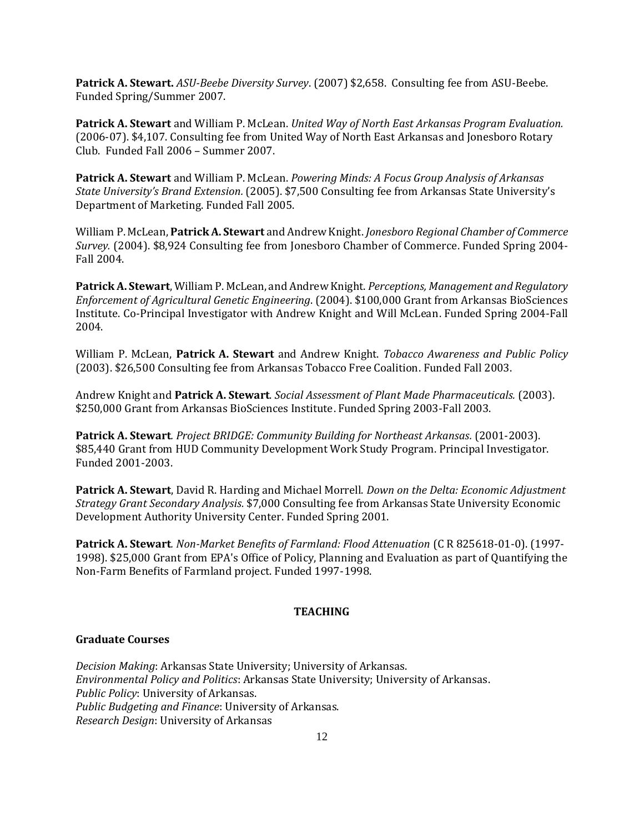**Patrick A. Stewart.** *ASU-Beebe Diversity Survey*. (2007) \$2,658. Consulting fee from ASU-Beebe. Funded Spring/Summer 2007.

**Patrick A. Stewart** and William P. McLean. *United Way of North East Arkansas Program Evaluation.* (2006-07). \$4,107. Consulting fee from United Way of North East Arkansas and Jonesboro Rotary Club. Funded Fall 2006 – Summer 2007.

**Patrick A. Stewart** and William P. McLean. *Powering Minds: A Focus Group Analysis of Arkansas State University's Brand Extension.* (2005). \$7,500 Consulting fee from Arkansas State University's Department of Marketing. Funded Fall 2005.

William P. McLean, **Patrick A. Stewart** and Andrew Knight. *Jonesboro Regional Chamber of Commerce Survey.* (2004). \$8,924 Consulting fee from Jonesboro Chamber of Commerce. Funded Spring 2004- Fall 2004.

**Patrick A. Stewart**, William P. McLean, and Andrew Knight. *Perceptions, Management and Regulatory Enforcement of Agricultural Genetic Engineering*. (2004). \$100,000 Grant from Arkansas BioSciences Institute. Co-Principal Investigator with Andrew Knight and Will McLean. Funded Spring 2004-Fall 2004.

William P. McLean, **Patrick A. Stewart** and Andrew Knight. *Tobacco Awareness and Public Policy* (2003). \$26,500 Consulting fee from Arkansas Tobacco Free Coalition. Funded Fall 2003.

Andrew Knight and **Patrick A. Stewart**. *Social Assessment of Plant Made Pharmaceuticals.* (2003). \$250,000 Grant from Arkansas BioSciences Institute. Funded Spring 2003-Fall 2003.

**Patrick A. Stewart***. Project BRIDGE: Community Building for Northeast Arkansas.* (2001-2003). \$85,440 Grant from HUD Community Development Work Study Program. Principal Investigator. Funded 2001-2003.

**Patrick A. Stewart**, David R. Harding and Michael Morrell. *Down on the Delta: Economic Adjustment Strategy Grant Secondary Analysis.* \$7,000 Consulting fee from Arkansas State University Economic Development Authority University Center. Funded Spring 2001.

**Patrick A. Stewart***. Non-Market Benefits of Farmland: Flood Attenuation* (C R 825618-01-0). (1997- 1998). \$25,000 Grant from EPA's Office of Policy, Planning and Evaluation as part of Quantifying the Non-Farm Benefits of Farmland project. Funded 1997-1998.

# **TEACHING**

# **Graduate Courses**

*Decision Making*: Arkansas State University; University of Arkansas. *Environmental Policy and Politics*: Arkansas State University; University of Arkansas. *Public Policy*: University of Arkansas. *Public Budgeting and Finance*: University of Arkansas. *Research Design*: University of Arkansas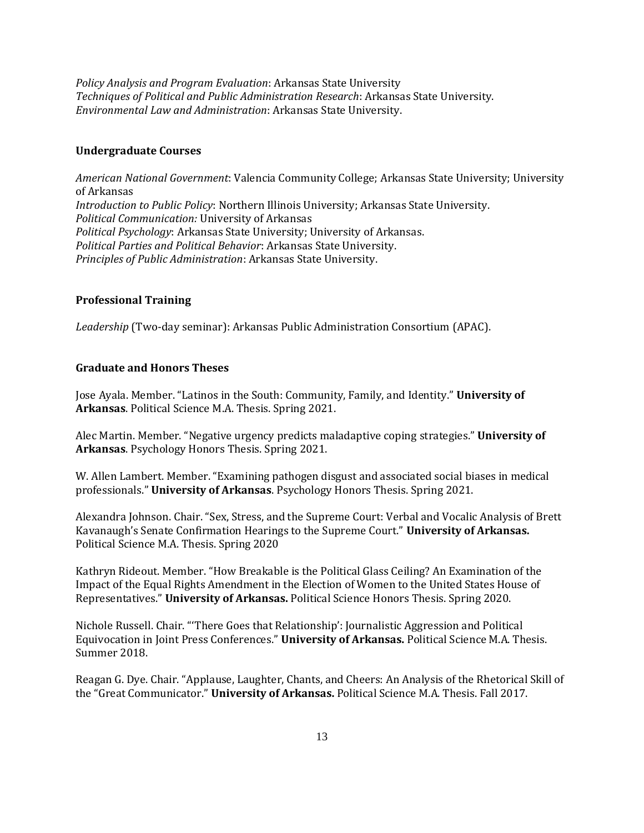*Policy Analysis and Program Evaluation*: Arkansas State University *Techniques of Political and Public Administration Research*: Arkansas State University. *Environmental Law and Administration*: Arkansas State University.

## **Undergraduate Courses**

*American National Government*: Valencia Community College; Arkansas State University; University of Arkansas *Introduction to Public Policy*: Northern Illinois University; Arkansas State University. *Political Communication:* University of Arkansas *Political Psychology*: Arkansas State University; University of Arkansas. *Political Parties and Political Behavior*: Arkansas State University. *Principles of Public Administration*: Arkansas State University.

### **Professional Training**

*Leadership* (Two-day seminar): Arkansas Public Administration Consortium (APAC).

### **Graduate and Honors Theses**

Jose Ayala. Member. "Latinos in the South: Community, Family, and Identity." **University of Arkansas**. Political Science M.A. Thesis. Spring 2021.

Alec Martin. Member. "Negative urgency predicts maladaptive coping strategies." **University of Arkansas**. Psychology Honors Thesis. Spring 2021.

W. Allen Lambert. Member. "Examining pathogen disgust and associated social biases in medical professionals." **University of Arkansas**. Psychology Honors Thesis. Spring 2021.

Alexandra Johnson. Chair. "Sex, Stress, and the Supreme Court: Verbal and Vocalic Analysis of Brett Kavanaugh's Senate Confirmation Hearings to the Supreme Court." **University of Arkansas.** Political Science M.A. Thesis. Spring 2020

Kathryn Rideout. Member. "How Breakable is the Political Glass Ceiling? An Examination of the Impact of the Equal Rights Amendment in the Election of Women to the United States House of Representatives." **University of Arkansas.** Political Science Honors Thesis. Spring 2020.

Nichole Russell. Chair. "'There Goes that Relationship': Journalistic Aggression and Political Equivocation in Joint Press Conferences." **University of Arkansas.** Political Science M.A. Thesis. Summer 2018.

Reagan G. Dye. Chair. "Applause, Laughter, Chants, and Cheers: An Analysis of the Rhetorical Skill of the "Great Communicator." **University of Arkansas.** Political Science M.A. Thesis. Fall 2017.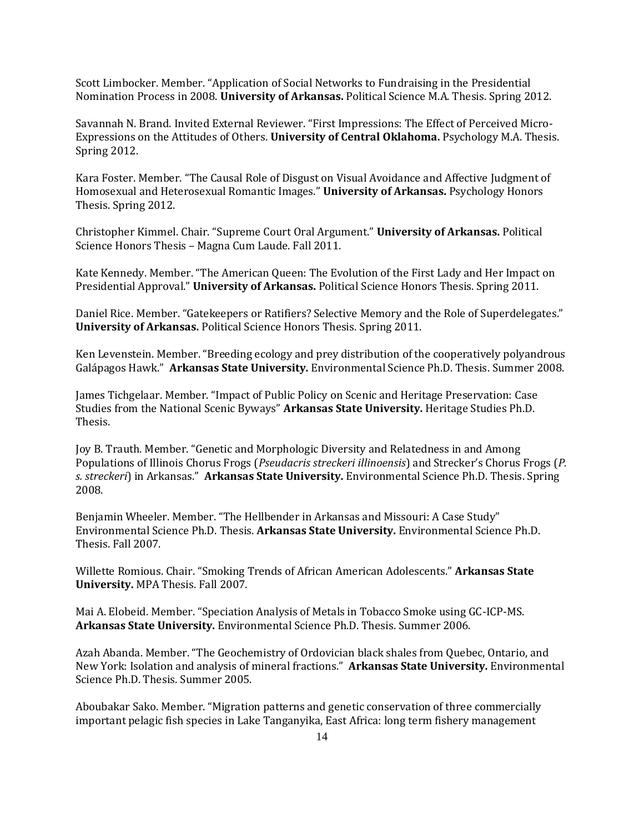Scott Limbocker. Member. "Application of Social Networks to Fundraising in the Presidential Nomination Process in 2008. **University of Arkansas.** Political Science M.A. Thesis. Spring 2012.

Savannah N. Brand. Invited External Reviewer. "First Impressions: The Effect of Perceived Micro-Expressions on the Attitudes of Others. **University of Central Oklahoma.** Psychology M.A. Thesis. Spring 2012.

Kara Foster. Member. "The Causal Role of Disgust on Visual Avoidance and Affective Judgment of Homosexual and Heterosexual Romantic Images." **University of Arkansas.** Psychology Honors Thesis. Spring 2012.

Christopher Kimmel. Chair. "Supreme Court Oral Argument." **University of Arkansas.** Political Science Honors Thesis – Magna Cum Laude. Fall 2011.

Kate Kennedy. Member. "The American Queen: The Evolution of the First Lady and Her Impact on Presidential Approval." **University of Arkansas.** Political Science Honors Thesis. Spring 2011.

Daniel Rice. Member. "Gatekeepers or Ratifiers? Selective Memory and the Role of Superdelegates." **University of Arkansas.** Political Science Honors Thesis. Spring 2011.

Ken Levenstein. Member. "Breeding ecology and prey distribution of the cooperatively polyandrous Galápagos Hawk." **Arkansas State University.** Environmental Science Ph.D. Thesis. Summer 2008.

James Tichgelaar. Member. "Impact of Public Policy on Scenic and Heritage Preservation: Case Studies from the National Scenic Byways" **Arkansas State University.** Heritage Studies Ph.D. Thesis.

Joy B. Trauth. Member. "Genetic and Morphologic Diversity and Relatedness in and Among Populations of Illinois Chorus Frogs (*Pseudacris streckeri illinoensis*) and Strecker's Chorus Frogs (*P. s. streckeri*) in Arkansas." **Arkansas State University.** Environmental Science Ph.D. Thesis. Spring 2008.

Benjamin Wheeler. Member. "The Hellbender in Arkansas and Missouri: A Case Study" Environmental Science Ph.D. Thesis. **Arkansas State University.** Environmental Science Ph.D. Thesis. Fall 2007.

Willette Romious. Chair. "Smoking Trends of African American Adolescents." **Arkansas State University.** MPA Thesis. Fall 2007.

Mai A. Elobeid. Member. "Speciation Analysis of Metals in Tobacco Smoke using GC-ICP-MS. **Arkansas State University.** Environmental Science Ph.D. Thesis. Summer 2006.

Azah Abanda. Member. "The Geochemistry of Ordovician black shales from Quebec, Ontario, and New York: Isolation and analysis of mineral fractions." **Arkansas State University.** Environmental Science Ph.D. Thesis. Summer 2005.

Aboubakar Sako. Member. "Migration patterns and genetic conservation of three commercially important pelagic fish species in Lake Tanganyika, East Africa: long term fishery management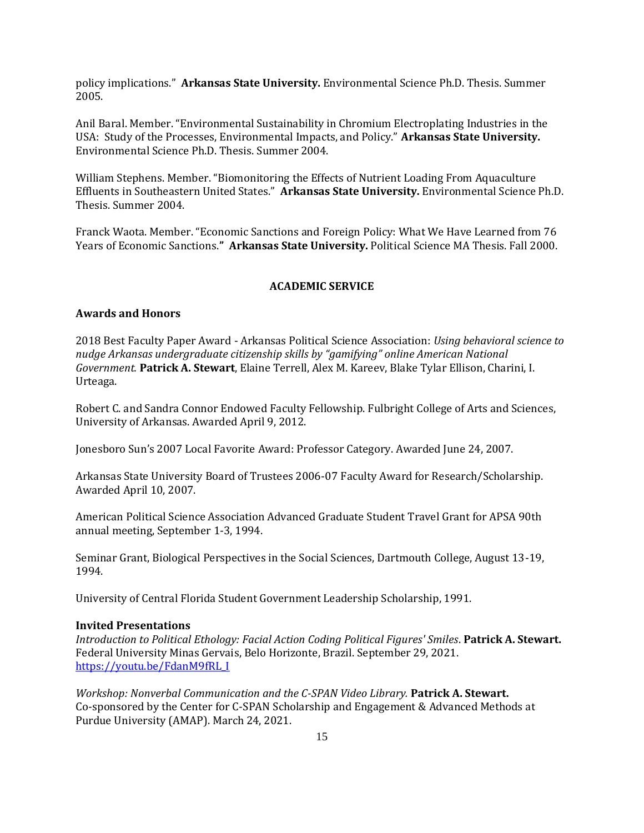policy implications." **Arkansas State University.** Environmental Science Ph.D. Thesis. Summer 2005.

Anil Baral. Member. "Environmental Sustainability in Chromium Electroplating Industries in the USA: Study of the Processes, Environmental Impacts, and Policy." **Arkansas State University.** Environmental Science Ph.D. Thesis. Summer 2004.

William Stephens. Member. "Biomonitoring the Effects of Nutrient Loading From Aquaculture Effluents in Southeastern United States." **Arkansas State University.** Environmental Science Ph.D. Thesis. Summer 2004.

Franck Waota. Member. "Economic Sanctions and Foreign Policy: What We Have Learned from 76 Years of Economic Sanctions.**" Arkansas State University.** Political Science MA Thesis. Fall 2000.

#### **ACADEMIC SERVICE**

### **Awards and Honors**

2018 Best Faculty Paper Award - Arkansas Political Science Association: *Using behavioral science to nudge Arkansas undergraduate citizenship skills by "gamifying" online American National Government.* **Patrick A. Stewart**, Elaine Terrell, Alex M. Kareev, Blake Tylar Ellison, Charini, I. Urteaga.

Robert C. and Sandra Connor Endowed Faculty Fellowship. Fulbright College of Arts and Sciences, University of Arkansas. Awarded April 9, 2012.

Jonesboro Sun's 2007 Local Favorite Award: Professor Category. Awarded June 24, 2007.

Arkansas State University Board of Trustees 2006-07 Faculty Award for Research/Scholarship. Awarded April 10, 2007.

American Political Science Association Advanced Graduate Student Travel Grant for APSA 90th annual meeting, September 1-3, 1994.

Seminar Grant, Biological Perspectives in the Social Sciences, Dartmouth College, August 13-19, 1994.

University of Central Florida Student Government Leadership Scholarship, 1991.

### **Invited Presentations**

*Introduction to Political Ethology: Facial Action Coding Political Figures' Smiles*. **Patrick A. Stewart.** Federal University Minas Gervais, Belo Horizonte, Brazil. September 29, 2021. [https://youtu.be/FdanM9fRL\\_I](https://youtu.be/FdanM9fRL_I)

*Workshop: Nonverbal Communication and the C-SPAN Video Library.* **Patrick A. Stewart.** Co-sponsored by the Center for C-SPAN Scholarship and Engagement & Advanced Methods at Purdue University (AMAP). March 24, 2021.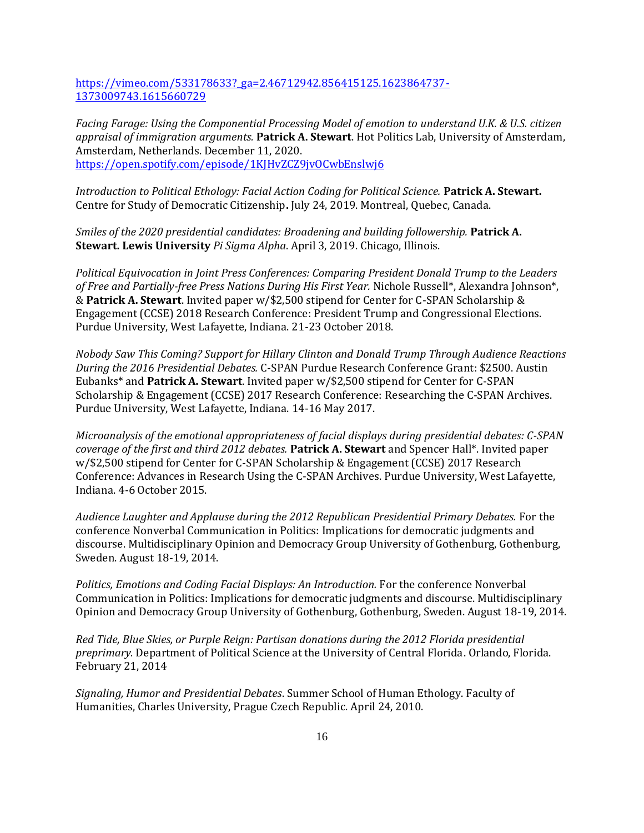[https://vimeo.com/533178633?\\_ga=2.46712942.856415125.1623864737-](https://vimeo.com/533178633?_ga=2.46712942.856415125.1623864737-1373009743.1615660729) [1373009743.1615660729](https://vimeo.com/533178633?_ga=2.46712942.856415125.1623864737-1373009743.1615660729)

*Facing Farage: Using the Componential Processing Model of emotion to understand U.K. & U.S. citizen appraisal of immigration arguments.* **Patrick A. Stewart**. Hot Politics Lab, University of Amsterdam, Amsterdam, Netherlands. December 11, 2020. <https://open.spotify.com/episode/1KJHvZCZ9jvOCwbEnslwj6>

*Introduction to Political Ethology: Facial Action Coding for Political Science.* **Patrick A. Stewart.** Centre for Study of Democratic Citizenship**.** July 24, 2019. Montreal, Quebec, Canada.

*Smiles of the 2020 presidential candidates: Broadening and building followership.* **Patrick A. Stewart. Lewis University** *Pi Sigma Alpha*. April 3, 2019. Chicago, Illinois.

*Political Equivocation in Joint Press Conferences: Comparing President Donald Trump to the Leaders of Free and Partially-free Press Nations During His First Year.* Nichole Russell\*, Alexandra Johnson\*, & **Patrick A. Stewart**. Invited paper w/\$2,500 stipend for Center for C-SPAN Scholarship & Engagement (CCSE) 2018 Research Conference: President Trump and Congressional Elections. Purdue University, West Lafayette, Indiana. 21-23 October 2018.

*Nobody Saw This Coming? Support for Hillary Clinton and Donald Trump Through Audience Reactions During the 2016 Presidential Debates.* C-SPAN Purdue Research Conference Grant: \$2500. Austin Eubanks\* and **Patrick A. Stewart**. Invited paper w/\$2,500 stipend for Center for C-SPAN Scholarship & Engagement (CCSE) 2017 Research Conference: Researching the C-SPAN Archives. Purdue University, West Lafayette, Indiana. 14-16 May 2017.

*Microanalysis of the emotional appropriateness of facial displays during presidential debates: C-SPAN coverage of the first and third 2012 debates.* **Patrick A. Stewart** and Spencer Hall\*. Invited paper w/\$2,500 stipend for Center for C-SPAN Scholarship & Engagement (CCSE) 2017 Research Conference: Advances in Research Using the C-SPAN Archives. Purdue University, West Lafayette, Indiana. 4-6 October 2015.

*Audience Laughter and Applause during the 2012 Republican Presidential Primary Debates.* For the conference Nonverbal Communication in Politics: Implications for democratic judgments and discourse. Multidisciplinary Opinion and Democracy Group University of Gothenburg, Gothenburg, Sweden. August 18-19, 2014.

*Politics, Emotions and Coding Facial Displays: An Introduction.* For the conference Nonverbal Communication in Politics: Implications for democratic judgments and discourse. Multidisciplinary Opinion and Democracy Group University of Gothenburg, Gothenburg, Sweden. August 18-19, 2014.

*Red Tide, Blue Skies, or Purple Reign: Partisan donations during the 2012 Florida presidential preprimary.* Department of Political Science at the University of Central Florida. Orlando, Florida. February 21, 2014

*Signaling, Humor and Presidential Debates*. Summer School of Human Ethology. Faculty of Humanities, Charles University, Prague Czech Republic. April 24, 2010.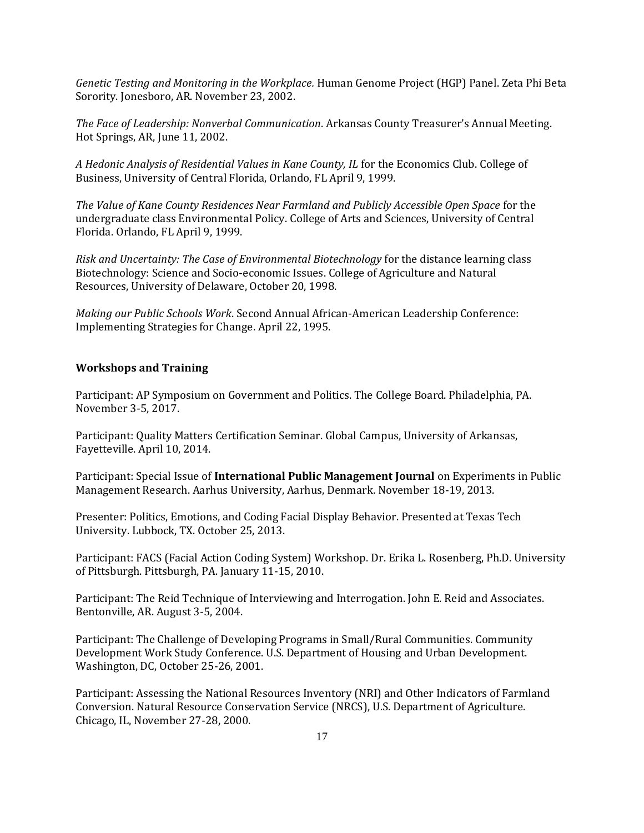*Genetic Testing and Monitoring in the Workplace.* Human Genome Project (HGP) Panel. Zeta Phi Beta Sorority. Jonesboro, AR. November 23, 2002.

*The Face of Leadership: Nonverbal Communication*. Arkansas County Treasurer's Annual Meeting. Hot Springs, AR, June 11, 2002.

*A Hedonic Analysis of Residential Values in Kane County, IL* for the Economics Club. College of Business, University of Central Florida, Orlando, FL April 9, 1999.

*The Value of Kane County Residences Near Farmland and Publicly Accessible Open Space* for the undergraduate class Environmental Policy. College of Arts and Sciences, University of Central Florida. Orlando, FL April 9, 1999.

*Risk and Uncertainty: The Case of Environmental Biotechnology* for the distance learning class Biotechnology: Science and Socio-economic Issues. College of Agriculture and Natural Resources, University of Delaware, October 20, 1998.

*Making our Public Schools Work*. Second Annual African-American Leadership Conference: Implementing Strategies for Change. April 22, 1995.

### **Workshops and Training**

Participant: AP Symposium on Government and Politics. The College Board. Philadelphia, PA. November 3-5, 2017.

Participant: Quality Matters Certification Seminar. Global Campus, University of Arkansas, Fayetteville. April 10, 2014.

Participant: Special Issue of **International Public Management Journal** on Experiments in Public Management Research. Aarhus University, Aarhus, Denmark. November 18-19, 2013.

Presenter: Politics, Emotions, and Coding Facial Display Behavior. Presented at Texas Tech University. Lubbock, TX. October 25, 2013.

Participant: FACS (Facial Action Coding System) Workshop. Dr. Erika L. Rosenberg, Ph.D. University of Pittsburgh. Pittsburgh, PA. January 11-15, 2010.

Participant: The Reid Technique of Interviewing and Interrogation. John E. Reid and Associates. Bentonville, AR. August 3-5, 2004.

Participant: The Challenge of Developing Programs in Small/Rural Communities. Community Development Work Study Conference. U.S. Department of Housing and Urban Development. Washington, DC, October 25-26, 2001.

Participant: Assessing the National Resources Inventory (NRI) and Other Indicators of Farmland Conversion. Natural Resource Conservation Service (NRCS), U.S. Department of Agriculture. Chicago, IL, November 27-28, 2000.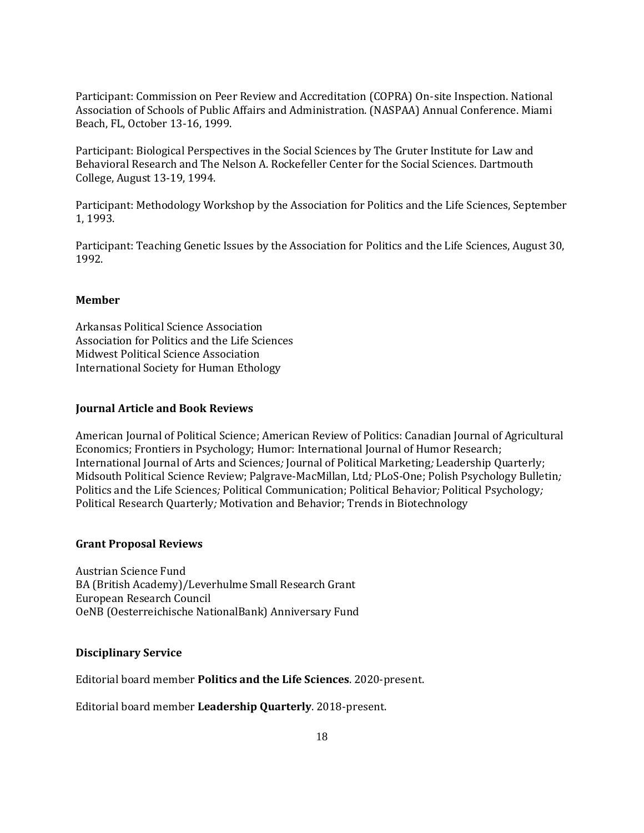Participant: Commission on Peer Review and Accreditation (COPRA) On-site Inspection. National Association of Schools of Public Affairs and Administration. (NASPAA) Annual Conference. Miami Beach, FL, October 13-16, 1999.

Participant: Biological Perspectives in the Social Sciences by The Gruter Institute for Law and Behavioral Research and The Nelson A. Rockefeller Center for the Social Sciences. Dartmouth College, August 13-19, 1994.

Participant: Methodology Workshop by the Association for Politics and the Life Sciences, September 1, 1993.

Participant: Teaching Genetic Issues by the Association for Politics and the Life Sciences, August 30, 1992.

### **Member**

Arkansas Political Science Association Association for Politics and the Life Sciences Midwest Political Science Association International Society for Human Ethology

#### **Journal Article and Book Reviews**

American Journal of Political Science; American Review of Politics: Canadian Journal of Agricultural Economics; Frontiers in Psychology; Humor: International Journal of Humor Research; International Journal of Arts and Sciences*;* Journal of Political Marketing*;* Leadership Quarterly; Midsouth Political Science Review; Palgrave-MacMillan, Ltd*;* PLoS-One; Polish Psychology Bulletin*;*  Politics and the Life Sciences*;* Political Communication; Political Behavior*;* Political Psychology*;*  Political Research Quarterly*;* Motivation and Behavior; Trends in Biotechnology

#### **Grant Proposal Reviews**

Austrian Science Fund BA (British Academy)/Leverhulme Small Research Grant European Research Council OeNB (Oesterreichische NationalBank) Anniversary Fund

#### **Disciplinary Service**

Editorial board member **Politics and the Life Sciences**. 2020-present.

Editorial board member **Leadership Quarterly**. 2018-present.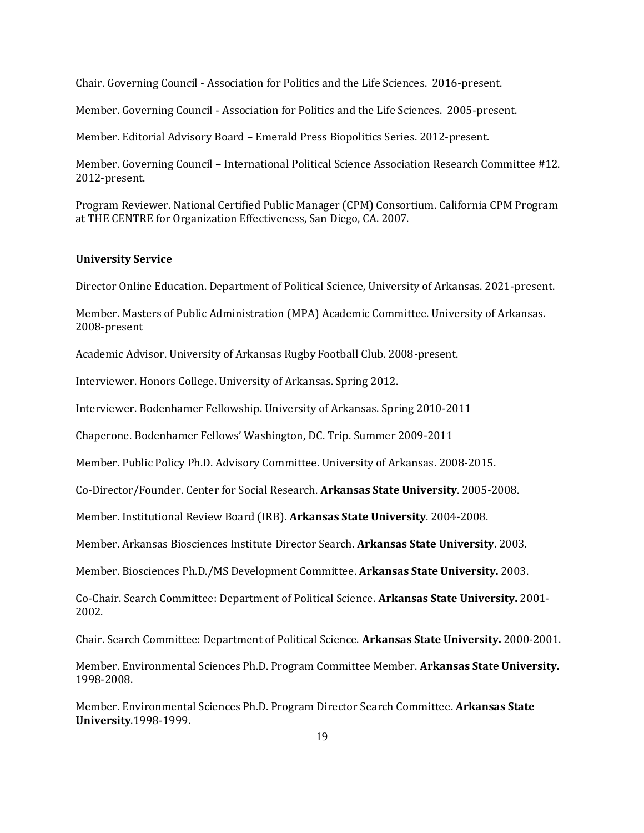Chair. Governing Council - Association for Politics and the Life Sciences. 2016-present.

Member. Governing Council - Association for Politics and the Life Sciences. 2005-present.

Member. Editorial Advisory Board – Emerald Press Biopolitics Series. 2012-present.

Member. Governing Council – International Political Science Association Research Committee #12. 2012-present.

Program Reviewer. National Certified Public Manager (CPM) Consortium. California CPM Program at THE CENTRE for Organization Effectiveness, San Diego, CA. 2007.

#### **University Service**

Director Online Education. Department of Political Science, University of Arkansas. 2021-present.

Member. Masters of Public Administration (MPA) Academic Committee. University of Arkansas. 2008-present

Academic Advisor. University of Arkansas Rugby Football Club. 2008-present.

Interviewer. Honors College. University of Arkansas. Spring 2012.

Interviewer. Bodenhamer Fellowship. University of Arkansas. Spring 2010-2011

Chaperone. Bodenhamer Fellows' Washington, DC. Trip. Summer 2009-2011

Member. Public Policy Ph.D. Advisory Committee. University of Arkansas. 2008-2015.

Co-Director/Founder. Center for Social Research. **Arkansas State University**. 2005-2008.

Member. Institutional Review Board (IRB). **Arkansas State University**. 2004-2008.

Member. Arkansas Biosciences Institute Director Search. **Arkansas State University.** 2003.

Member. Biosciences Ph.D./MS Development Committee. **Arkansas State University.** 2003.

Co-Chair. Search Committee: Department of Political Science. **Arkansas State University.** 2001- 2002.

Chair. Search Committee: Department of Political Science. **Arkansas State University.** 2000-2001.

Member. Environmental Sciences Ph.D. Program Committee Member. **Arkansas State University.**  1998-2008.

Member. Environmental Sciences Ph.D. Program Director Search Committee. **Arkansas State University**.1998-1999.